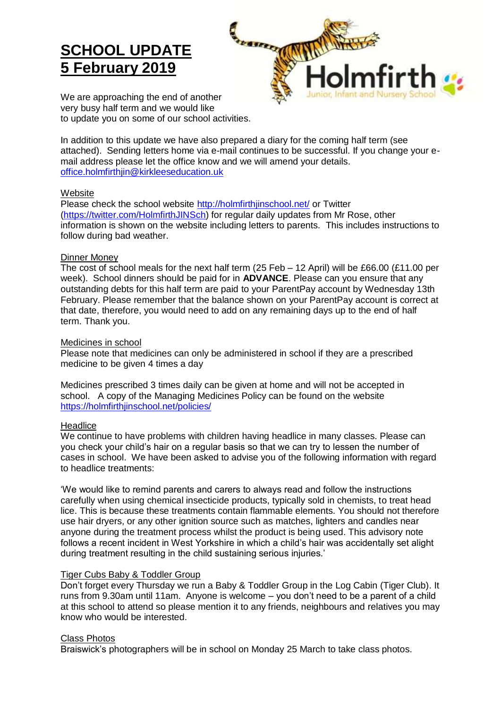# **SCHOOL UPDATE 5 February 2019**



We are approaching the end of another very busy half term and we would like to update you on some of our school activities.

In addition to this update we have also prepared a diary for the coming half term (see attached). Sending letters home via e-mail continues to be successful. If you change your email address please let the office know and we will amend your details. office.holmfirthiin@kirkleeseducation.uk

## **Website**

Please check the school website<http://holmfirthjinschool.net/> or Twitter [\(https://twitter.com/HolmfirthJINSch\)](https://twitter.com/HolmfirthJINSch) for regular daily updates from Mr Rose, other information is shown on the website including letters to parents. This includes instructions to follow during bad weather.

#### Dinner Money

The cost of school meals for the next half term (25 Feb – 12 April) will be £66.00 (£11.00 per week). School dinners should be paid for in **ADVANCE**. Please can you ensure that any outstanding debts for this half term are paid to your ParentPay account by Wednesday 13th February. Please remember that the balance shown on your ParentPay account is correct at that date, therefore, you would need to add on any remaining days up to the end of half term. Thank you.

#### Medicines in school

Please note that medicines can only be administered in school if they are a prescribed medicine to be given 4 times a day

Medicines prescribed 3 times daily can be given at home and will not be accepted in school. A copy of the Managing Medicines Policy can be found on the website <https://holmfirthjinschool.net/policies/>

#### **Headlice**

We continue to have problems with children having headlice in many classes. Please can you check your child's hair on a regular basis so that we can try to lessen the number of cases in school. We have been asked to advise you of the following information with regard to headlice treatments:

'We would like to remind parents and carers to always read and follow the instructions carefully when using chemical insecticide products, typically sold in chemists, to treat head lice. This is because these treatments contain flammable elements. You should not therefore use hair dryers, or any other ignition source such as matches, lighters and candles near anyone during the treatment process whilst the product is being used. This advisory note follows a recent incident in West Yorkshire in which a child's hair was accidentally set alight during treatment resulting in the child sustaining serious injuries.'

## Tiger Cubs Baby & Toddler Group

Don't forget every Thursday we run a Baby & Toddler Group in the Log Cabin (Tiger Club). It runs from 9.30am until 11am. Anyone is welcome – you don't need to be a parent of a child at this school to attend so please mention it to any friends, neighbours and relatives you may know who would be interested.

## Class Photos

Braiswick's photographers will be in school on Monday 25 March to take class photos.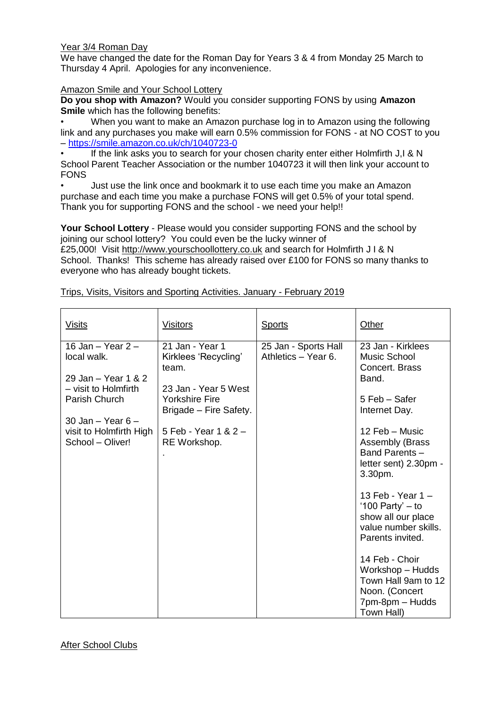Year 3/4 Roman Day

We have changed the date for the Roman Day for Years 3 & 4 from Monday 25 March to Thursday 4 April. Apologies for any inconvenience.

Amazon Smile and Your School Lottery

**Do you shop with Amazon?** Would you consider supporting FONS by using **Amazon Smile** which has the following benefits:

• When you want to make an Amazon purchase log in to Amazon using the following link and any purchases you make will earn 0.5% commission for FONS - at NO COST to you – <https://smile.amazon.co.uk/ch/1040723-0>

If the link asks you to search for your chosen charity enter either Holmfirth J.I & N School Parent Teacher Association or the number 1040723 it will then link your account to FONS

• Just use the link once and bookmark it to use each time you make an Amazon purchase and each time you make a purchase FONS will get 0.5% of your total spend. Thank you for supporting FONS and the school - we need your help!!

**Your School Lottery** - Please would you consider supporting FONS and the school by joining our school lottery? You could even be the lucky winner of £25,000! Visit [http://www.yourschoollottery.co.uk](http://www.yourschoollottery.co.uk/) and search for Holmfirth J I & N School. Thanks! This scheme has already raised over £100 for FONS so many thanks to everyone who has already bought tickets.

| <u>Visits</u>                                                                                                                                                             | <b>Visitors</b>                                                                                                                                                     | <b>Sports</b>                               | Other                                                                                                                                                                                                                                                                                                                                                                                                                        |
|---------------------------------------------------------------------------------------------------------------------------------------------------------------------------|---------------------------------------------------------------------------------------------------------------------------------------------------------------------|---------------------------------------------|------------------------------------------------------------------------------------------------------------------------------------------------------------------------------------------------------------------------------------------------------------------------------------------------------------------------------------------------------------------------------------------------------------------------------|
| 16 Jan - Year $2-$<br>local walk.<br>29 Jan - Year 1 & 2<br>- visit to Holmfirth<br>Parish Church<br>30 Jan $-$ Year 6 $-$<br>visit to Holmfirth High<br>School - Oliver! | 21 Jan - Year 1<br>Kirklees 'Recycling'<br>team.<br>23 Jan - Year 5 West<br><b>Yorkshire Fire</b><br>Brigade - Fire Safety.<br>5 Feb - Year 1 & 2 -<br>RE Workshop. | 25 Jan - Sports Hall<br>Athletics - Year 6. | 23 Jan - Kirklees<br>Music School<br>Concert. Brass<br>Band.<br>5 Feb - Safer<br>Internet Day.<br>12 Feb - Music<br><b>Assembly (Brass</b><br>Band Parents-<br>letter sent) 2.30pm -<br>3.30pm.<br>13 Feb - Year 1 -<br>'100 Party' $-$ to<br>show all our place<br>value number skills.<br>Parents invited.<br>14 Feb - Choir<br>Workshop - Hudds<br>Town Hall 9am to 12<br>Noon. (Concert<br>7pm-8pm - Hudds<br>Town Hall) |

Trips, Visits, Visitors and Sporting Activities. January - February 2019

After School Clubs